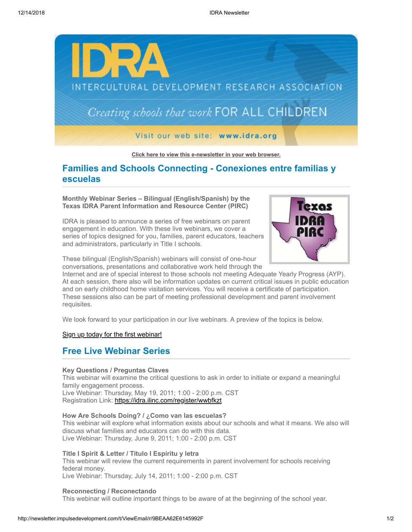

**[Click here to view this e-newsletter in your web browser.](http://newsletter.impulsedevelopment.com/t/r/e/jtdjgy/l/)**

# **Families and Schools Connecting - Conexiones entre familias y escuelas**

**Monthly Webinar Series – Bilingual (English/Spanish) by the Texas IDRA Parent Information and Resource Center (PIRC)**

IDRA is pleased to announce a series of free webinars on parent engagement in education. With these live webinars, we cover a series of topics designed for you, families, parent educators, teachers and administrators, particularly in Title I schools.



These bilingual (English/Spanish) webinars will consist of one-hour conversations, presentations and collaborative work held through the

Internet and are of special interest to those schools not meeting Adequate Yearly Progress (AYP). At each session, there also will be information updates on current critical issues in public education and on early childhood home visitation services. You will receive a certificate of participation. These sessions also can be part of meeting professional development and parent involvement requisites.

We look forward to your participation in our live webinars. A preview of the topics is below.

[Sign up today for the first webinar!](http://newsletter.impulsedevelopment.com/t/r/l/jtdjgy/l/y/)

## **Free Live Webinar Series**

#### **Key Questions / Preguntas Claves**

This webinar will examine the critical questions to ask in order to initiate or expand a meaningful family engagement process.

Live Webinar: Thursday, May 19, 2011; 1:00 - 2:00 p.m. CST Registration Link: [https://idra.ilinc.com/register/wwbfkzt](http://newsletter.impulsedevelopment.com/t/r/l/jtdjgy/l/j/)

### **How Are Schools Doing? / ¿Como van las escuelas?**

This webinar will explore what information exists about our schools and what it means. We also will discuss what families and educators can do with this data. Live Webinar: Thursday, June 9, 2011; 1:00 - 2:00 p.m. CST

**Title I Spirit & Letter / Titulo I Espíritu y letra**

This webinar will review the current requirements in parent involvement for schools receiving federal money. Live Webinar: Thursday, July 14, 2011; 1:00 - 2:00 p.m. CST

#### **Reconnecting / Reconectando**

This webinar will outline important things to be aware of at the beginning of the school year.